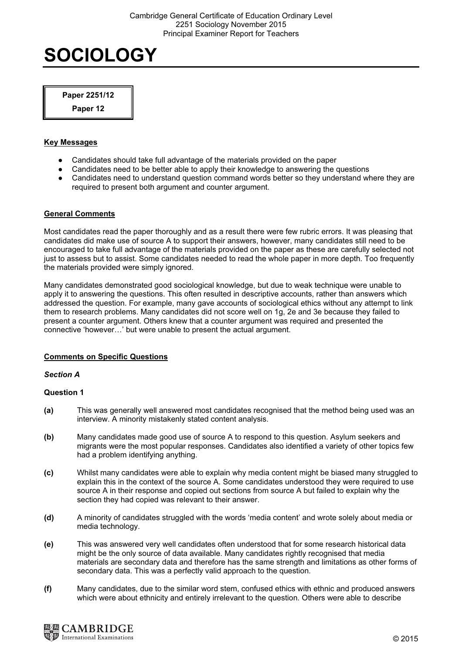Paper 2251/12

Paper 12

# Key Messages

- Candidates should take full advantage of the materials provided on the paper
- Candidates need to be better able to apply their knowledge to answering the questions
- Candidates need to understand question command words better so they understand where they are required to present both argument and counter argument.

# General Comments

Most candidates read the paper thoroughly and as a result there were few rubric errors. It was pleasing that candidates did make use of source A to support their answers, however, many candidates still need to be encouraged to take full advantage of the materials provided on the paper as these are carefully selected not just to assess but to assist. Some candidates needed to read the whole paper in more depth. Too frequently the materials provided were simply ignored.

Many candidates demonstrated good sociological knowledge, but due to weak technique were unable to apply it to answering the questions. This often resulted in descriptive accounts, rather than answers which addressed the question. For example, many gave accounts of sociological ethics without any attempt to link them to research problems. Many candidates did not score well on 1g, 2e and 3e because they failed to present a counter argument. Others knew that a counter argument was required and presented the connective 'however…' but were unable to present the actual argument.

# Comments on Specific Questions

## Section A

- (a) This was generally well answered most candidates recognised that the method being used was an interview. A minority mistakenly stated content analysis.
- (b) Many candidates made good use of source A to respond to this question. Asylum seekers and migrants were the most popular responses. Candidates also identified a variety of other topics few had a problem identifying anything.
- (c) Whilst many candidates were able to explain why media content might be biased many struggled to explain this in the context of the source A. Some candidates understood they were required to use source A in their response and copied out sections from source A but failed to explain why the section they had copied was relevant to their answer.
- (d) A minority of candidates struggled with the words 'media content' and wrote solely about media or media technology.
- (e) This was answered very well candidates often understood that for some research historical data might be the only source of data available. Many candidates rightly recognised that media materials are secondary data and therefore has the same strength and limitations as other forms of secondary data. This was a perfectly valid approach to the question.
- (f) Many candidates, due to the similar word stem, confused ethics with ethnic and produced answers which were about ethnicity and entirely irrelevant to the question. Others were able to describe

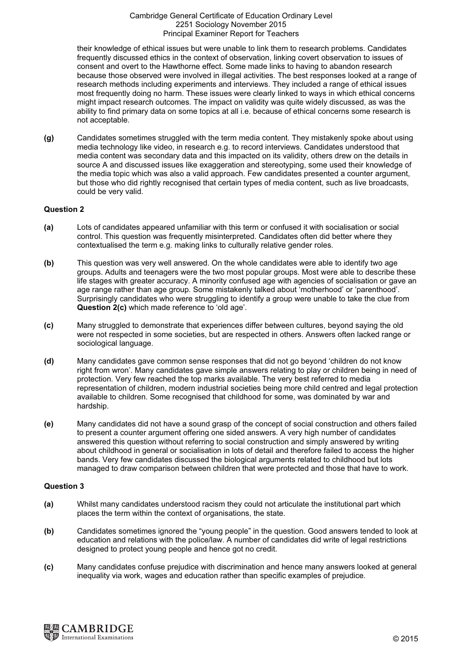their knowledge of ethical issues but were unable to link them to research problems. Candidates frequently discussed ethics in the context of observation, linking covert observation to issues of consent and overt to the Hawthorne effect. Some made links to having to abandon research because those observed were involved in illegal activities. The best responses looked at a range of research methods including experiments and interviews. They included a range of ethical issues most frequently doing no harm. These issues were clearly linked to ways in which ethical concerns might impact research outcomes. The impact on validity was quite widely discussed, as was the ability to find primary data on some topics at all i.e. because of ethical concerns some research is not acceptable.

(g) Candidates sometimes struggled with the term media content. They mistakenly spoke about using media technology like video, in research e.g. to record interviews. Candidates understood that media content was secondary data and this impacted on its validity, others drew on the details in source A and discussed issues like exaggeration and stereotyping, some used their knowledge of the media topic which was also a valid approach. Few candidates presented a counter argument, but those who did rightly recognised that certain types of media content, such as live broadcasts, could be very valid.

## Question 2

- (a) Lots of candidates appeared unfamiliar with this term or confused it with socialisation or social control. This question was frequently misinterpreted. Candidates often did better where they contextualised the term e.g. making links to culturally relative gender roles.
- (b) This question was very well answered. On the whole candidates were able to identify two age groups. Adults and teenagers were the two most popular groups. Most were able to describe these life stages with greater accuracy. A minority confused age with agencies of socialisation or gave an age range rather than age group. Some mistakenly talked about 'motherhood' or 'parenthood'. Surprisingly candidates who were struggling to identify a group were unable to take the clue from Question 2(c) which made reference to 'old age'.
- (c) Many struggled to demonstrate that experiences differ between cultures, beyond saying the old were not respected in some societies, but are respected in others. Answers often lacked range or sociological language.
- (d) Many candidates gave common sense responses that did not go beyond 'children do not know right from wron'. Many candidates gave simple answers relating to play or children being in need of protection. Very few reached the top marks available. The very best referred to media representation of children, modern industrial societies being more child centred and legal protection available to children. Some recognised that childhood for some, was dominated by war and hardship.
- (e) Many candidates did not have a sound grasp of the concept of social construction and others failed to present a counter argument offering one sided answers. A very high number of candidates answered this question without referring to social construction and simply answered by writing about childhood in general or socialisation in lots of detail and therefore failed to access the higher bands. Very few candidates discussed the biological arguments related to childhood but lots managed to draw comparison between children that were protected and those that have to work.

- (a) Whilst many candidates understood racism they could not articulate the institutional part which places the term within the context of organisations, the state.
- (b) Candidates sometimes ignored the "young people" in the question. Good answers tended to look at education and relations with the police/law. A number of candidates did write of legal restrictions designed to protect young people and hence got no credit.
- (c) Many candidates confuse prejudice with discrimination and hence many answers looked at general inequality via work, wages and education rather than specific examples of prejudice.

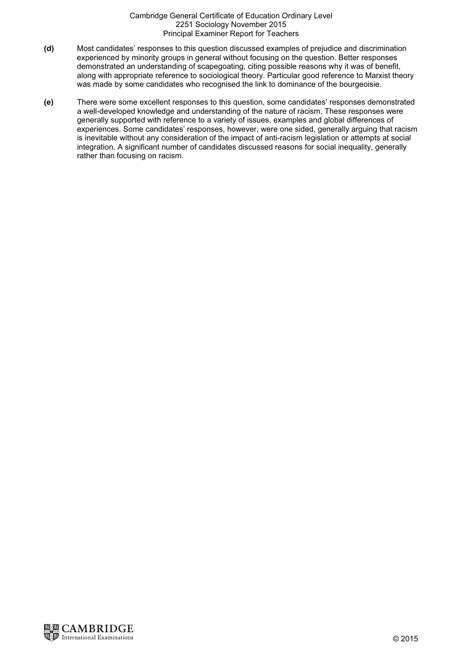- (d) Most candidates' responses to this question discussed examples of prejudice and discrimination experienced by minority groups in general without focusing on the question. Better responses demonstrated an understanding of scapegoating, citing possible reasons why it was of benefit, along with appropriate reference to sociological theory. Particular good reference to Marxist theory was made by some candidates who recognised the link to dominance of the bourgeoisie.
- (e) There were some excellent responses to this question, some candidates' responses demonstrated a well-developed knowledge and understanding of the nature of racism. These responses were generally supported with reference to a variety of issues, examples and global differences of experiences. Some candidates' responses, however, were one sided, generally arguing that racism is inevitable without any consideration of the impact of anti-racism legislation or attempts at social integration. A significant number of candidates discussed reasons for social inequality, generally rather than focusing on racism.

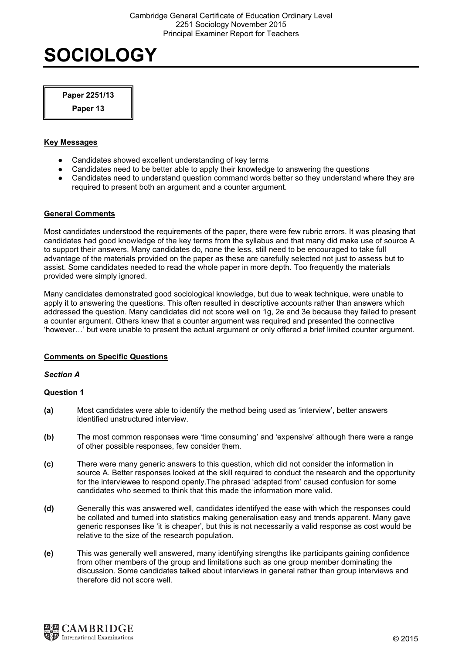Paper 2251/13

Paper 13

## Key Messages

- Candidates showed excellent understanding of key terms
- Candidates need to be better able to apply their knowledge to answering the questions
- Candidates need to understand question command words better so they understand where they are required to present both an argument and a counter argument.

# General Comments

Most candidates understood the requirements of the paper, there were few rubric errors. It was pleasing that candidates had good knowledge of the key terms from the syllabus and that many did make use of source A to support their answers. Many candidates do, none the less, still need to be encouraged to take full advantage of the materials provided on the paper as these are carefully selected not just to assess but to assist. Some candidates needed to read the whole paper in more depth. Too frequently the materials provided were simply ignored.

Many candidates demonstrated good sociological knowledge, but due to weak technique, were unable to apply it to answering the questions. This often resulted in descriptive accounts rather than answers which addressed the question. Many candidates did not score well on 1g, 2e and 3e because they failed to present a counter argument. Others knew that a counter argument was required and presented the connective 'however…' but were unable to present the actual argument or only offered a brief limited counter argument.

# Comments on Specific Questions

## Section A

- (a) Most candidates were able to identify the method being used as 'interview', better answers identified unstructured interview.
- (b) The most common responses were 'time consuming' and 'expensive' although there were a range of other possible responses, few consider them.
- (c) There were many generic answers to this question, which did not consider the information in source A. Better responses looked at the skill required to conduct the research and the opportunity for the interviewee to respond openly.The phrased 'adapted from' caused confusion for some candidates who seemed to think that this made the information more valid.
- (d) Generally this was answered well, candidates identifyed the ease with which the responses could be collated and turned into statistics making generalisation easy and trends apparent. Many gave generic responses like 'it is cheaper', but this is not necessarily a valid response as cost would be relative to the size of the research population.
- (e) This was generally well answered, many identifying strengths like participants gaining confidence from other members of the group and limitations such as one group member dominating the discussion. Some candidates talked about interviews in general rather than group interviews and therefore did not score well.

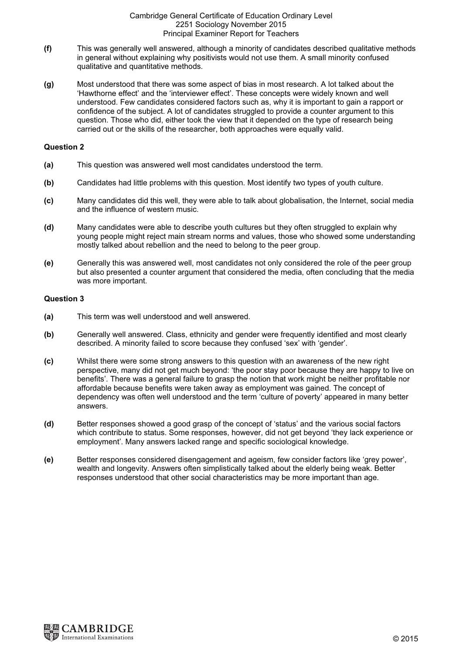- (f) This was generally well answered, although a minority of candidates described qualitative methods in general without explaining why positivists would not use them. A small minority confused qualitative and quantitative methods.
- (g) Most understood that there was some aspect of bias in most research. A lot talked about the 'Hawthorne effect' and the 'interviewer effect'. These concepts were widely known and well understood. Few candidates considered factors such as, why it is important to gain a rapport or confidence of the subject. A lot of candidates struggled to provide a counter argument to this question. Those who did, either took the view that it depended on the type of research being carried out or the skills of the researcher, both approaches were equally valid.

### Question 2

- (a) This question was answered well most candidates understood the term.
- (b) Candidates had little problems with this question. Most identify two types of youth culture.
- (c) Many candidates did this well, they were able to talk about globalisation, the Internet, social media and the influence of western music.
- (d) Many candidates were able to describe youth cultures but they often struggled to explain why young people might reject main stream norms and values, those who showed some understanding mostly talked about rebellion and the need to belong to the peer group.
- (e) Generally this was answered well, most candidates not only considered the role of the peer group but also presented a counter argument that considered the media, often concluding that the media was more important.

- (a) This term was well understood and well answered.
- (b) Generally well answered. Class, ethnicity and gender were frequently identified and most clearly described. A minority failed to score because they confused 'sex' with 'gender'.
- (c) Whilst there were some strong answers to this question with an awareness of the new right perspective, many did not get much beyond: 'the poor stay poor because they are happy to live on benefits'. There was a general failure to grasp the notion that work might be neither profitable nor affordable because benefits were taken away as employment was gained. The concept of dependency was often well understood and the term 'culture of poverty' appeared in many better answers.
- (d) Better responses showed a good grasp of the concept of 'status' and the various social factors which contribute to status. Some responses, however, did not get beyond 'they lack experience or employment'. Many answers lacked range and specific sociological knowledge.
- (e) Better responses considered disengagement and ageism, few consider factors like 'grey power', wealth and longevity. Answers often simplistically talked about the elderly being weak. Better responses understood that other social characteristics may be more important than age.

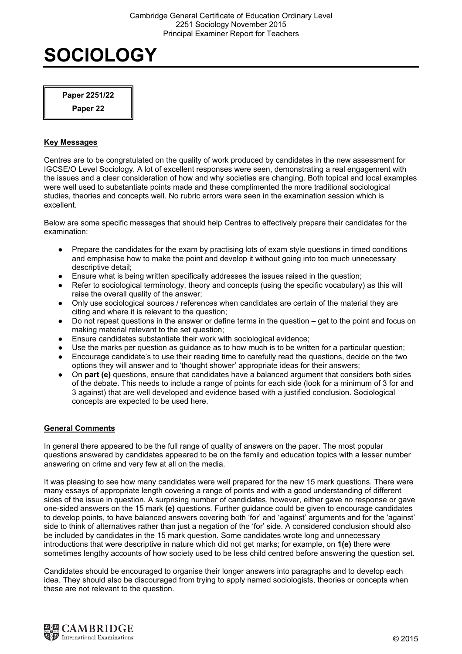Paper 2251/22

Paper 22

# Key Messages

Centres are to be congratulated on the quality of work produced by candidates in the new assessment for IGCSE/O Level Sociology. A lot of excellent responses were seen, demonstrating a real engagement with the issues and a clear consideration of how and why societies are changing. Both topical and local examples were well used to substantiate points made and these complimented the more traditional sociological studies, theories and concepts well. No rubric errors were seen in the examination session which is excellent.

Below are some specific messages that should help Centres to effectively prepare their candidates for the examination:

- Prepare the candidates for the exam by practising lots of exam style questions in timed conditions and emphasise how to make the point and develop it without going into too much unnecessary descriptive detail;
- Ensure what is being written specifically addresses the issues raised in the question;
- Refer to sociological terminology, theory and concepts (using the specific vocabulary) as this will raise the overall quality of the answer;
- Only use sociological sources / references when candidates are certain of the material they are citing and where it is relevant to the question;
- Do not repeat questions in the answer or define terms in the question get to the point and focus on making material relevant to the set question;
- Ensure candidates substantiate their work with sociological evidence:
- Use the marks per question as guidance as to how much is to be written for a particular question;
- Encourage candidate's to use their reading time to carefully read the questions, decide on the two options they will answer and to 'thought shower' appropriate ideas for their answers;
- On part (e) questions, ensure that candidates have a balanced argument that considers both sides of the debate. This needs to include a range of points for each side (look for a minimum of 3 for and 3 against) that are well developed and evidence based with a justified conclusion. Sociological concepts are expected to be used here.

# General Comments

In general there appeared to be the full range of quality of answers on the paper. The most popular questions answered by candidates appeared to be on the family and education topics with a lesser number answering on crime and very few at all on the media.

It was pleasing to see how many candidates were well prepared for the new 15 mark questions. There were many essays of appropriate length covering a range of points and with a good understanding of different sides of the issue in question. A surprising number of candidates, however, either gave no response or gave one-sided answers on the 15 mark (e) questions. Further guidance could be given to encourage candidates to develop points, to have balanced answers covering both 'for' and 'against' arguments and for the 'against' side to think of alternatives rather than just a negation of the 'for' side. A considered conclusion should also be included by candidates in the 15 mark question. Some candidates wrote long and unnecessary introductions that were descriptive in nature which did not get marks; for example, on 1(e) there were sometimes lengthy accounts of how society used to be less child centred before answering the question set.

Candidates should be encouraged to organise their longer answers into paragraphs and to develop each idea. They should also be discouraged from trying to apply named sociologists, theories or concepts when these are not relevant to the question.

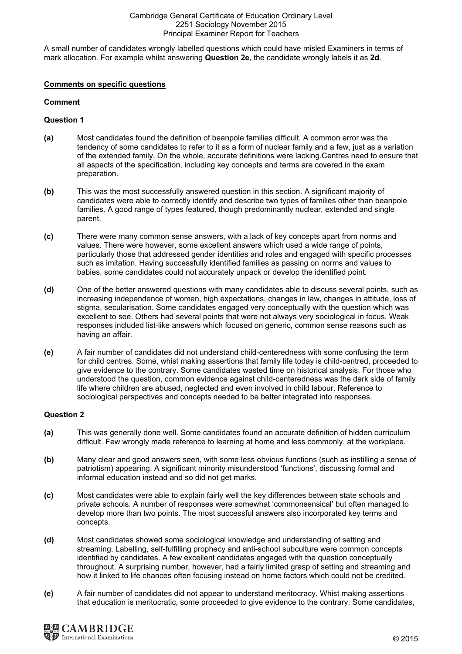A small number of candidates wrongly labelled questions which could have misled Examiners in terms of mark allocation. For example whilst answering Question 2e, the candidate wrongly labels it as 2d.

## Comments on specific questions

## Comment

## Question 1

- (a) Most candidates found the definition of beanpole families difficult. A common error was the tendency of some candidates to refer to it as a form of nuclear family and a few, just as a variation of the extended family. On the whole, accurate definitions were lacking.Centres need to ensure that all aspects of the specification, including key concepts and terms are covered in the exam preparation.
- (b) This was the most successfully answered question in this section. A significant majority of candidates were able to correctly identify and describe two types of families other than beanpole families. A good range of types featured, though predominantly nuclear, extended and single parent.
- (c) There were many common sense answers, with a lack of key concepts apart from norms and values. There were however, some excellent answers which used a wide range of points, particularly those that addressed gender identities and roles and engaged with specific processes such as imitation. Having successfully identified families as passing on norms and values to babies, some candidates could not accurately unpack or develop the identified point.
- (d) One of the better answered questions with many candidates able to discuss several points, such as increasing independence of women, high expectations, changes in law, changes in attitude, loss of stigma, secularisation. Some candidates engaged very conceptually with the question which was excellent to see. Others had several points that were not always very sociological in focus. Weak responses included list-like answers which focused on generic, common sense reasons such as having an affair.
- (e) A fair number of candidates did not understand child-centeredness with some confusing the term for child centres. Some, whist making assertions that family life today is child-centred, proceeded to give evidence to the contrary. Some candidates wasted time on historical analysis. For those who understood the question, common evidence against child-centeredness was the dark side of family life where children are abused, neglected and even involved in child labour. Reference to sociological perspectives and concepts needed to be better integrated into responses.

- (a) This was generally done well. Some candidates found an accurate definition of hidden curriculum difficult. Few wrongly made reference to learning at home and less commonly, at the workplace.
- (b) Many clear and good answers seen, with some less obvious functions (such as instilling a sense of patriotism) appearing. A significant minority misunderstood 'functions', discussing formal and informal education instead and so did not get marks.
- (c) Most candidates were able to explain fairly well the key differences between state schools and private schools. A number of responses were somewhat 'commonsensical' but often managed to develop more than two points. The most successful answers also incorporated key terms and concepts.
- (d) Most candidates showed some sociological knowledge and understanding of setting and streaming. Labelling, self-fulfilling prophecy and anti-school subculture were common concepts identified by candidates. A few excellent candidates engaged with the question conceptually throughout. A surprising number, however, had a fairly limited grasp of setting and streaming and how it linked to life chances often focusing instead on home factors which could not be credited.
- (e) A fair number of candidates did not appear to understand meritocracy. Whist making assertions that education is meritocratic, some proceeded to give evidence to the contrary. Some candidates,

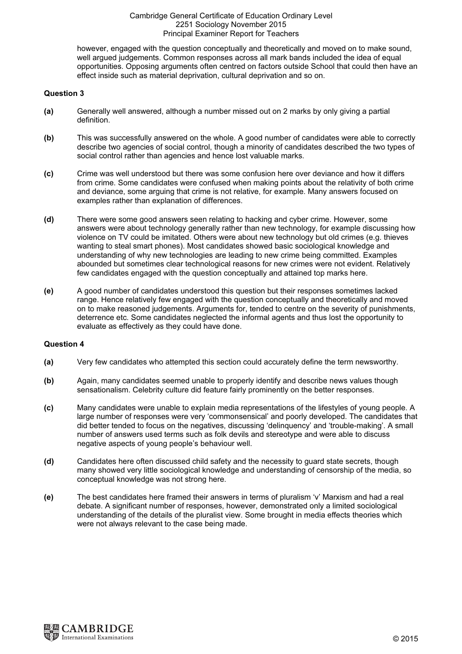however, engaged with the question conceptually and theoretically and moved on to make sound, well argued judgements. Common responses across all mark bands included the idea of equal opportunities. Opposing arguments often centred on factors outside School that could then have an effect inside such as material deprivation, cultural deprivation and so on.

## Question 3

- (a) Generally well answered, although a number missed out on 2 marks by only giving a partial definition.
- (b) This was successfully answered on the whole. A good number of candidates were able to correctly describe two agencies of social control, though a minority of candidates described the two types of social control rather than agencies and hence lost valuable marks.
- (c) Crime was well understood but there was some confusion here over deviance and how it differs from crime. Some candidates were confused when making points about the relativity of both crime and deviance, some arguing that crime is not relative, for example. Many answers focused on examples rather than explanation of differences.
- (d) There were some good answers seen relating to hacking and cyber crime. However, some answers were about technology generally rather than new technology, for example discussing how violence on TV could be imitated. Others were about new technology but old crimes (e.g. thieves wanting to steal smart phones). Most candidates showed basic sociological knowledge and understanding of why new technologies are leading to new crime being committed. Examples abounded but sometimes clear technological reasons for new crimes were not evident. Relatively few candidates engaged with the question conceptually and attained top marks here.
- (e) A good number of candidates understood this question but their responses sometimes lacked range. Hence relatively few engaged with the question conceptually and theoretically and moved on to make reasoned judgements. Arguments for, tended to centre on the severity of punishments, deterrence etc. Some candidates neglected the informal agents and thus lost the opportunity to evaluate as effectively as they could have done.

- (a) Very few candidates who attempted this section could accurately define the term newsworthy.
- (b) Again, many candidates seemed unable to properly identify and describe news values though sensationalism. Celebrity culture did feature fairly prominently on the better responses.
- (c) Many candidates were unable to explain media representations of the lifestyles of young people. A large number of responses were very 'commonsensical' and poorly developed. The candidates that did better tended to focus on the negatives, discussing 'delinquency' and 'trouble-making'. A small number of answers used terms such as folk devils and stereotype and were able to discuss negative aspects of young people's behaviour well.
- (d) Candidates here often discussed child safety and the necessity to guard state secrets, though many showed very little sociological knowledge and understanding of censorship of the media, so conceptual knowledge was not strong here.
- (e) The best candidates here framed their answers in terms of pluralism 'v' Marxism and had a real debate. A significant number of responses, however, demonstrated only a limited sociological understanding of the details of the pluralist view. Some brought in media effects theories which were not always relevant to the case being made.

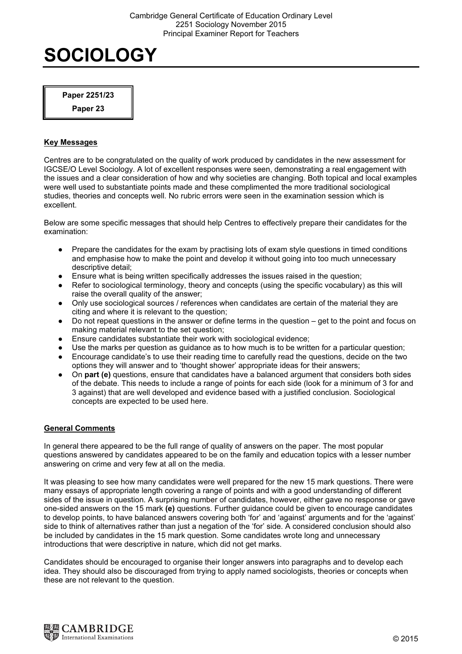Paper 2251/23

Paper 23

# Key Messages

Centres are to be congratulated on the quality of work produced by candidates in the new assessment for IGCSE/O Level Sociology. A lot of excellent responses were seen, demonstrating a real engagement with the issues and a clear consideration of how and why societies are changing. Both topical and local examples were well used to substantiate points made and these complimented the more traditional sociological studies, theories and concepts well. No rubric errors were seen in the examination session which is excellent.

Below are some specific messages that should help Centres to effectively prepare their candidates for the examination:

- Prepare the candidates for the exam by practising lots of exam style questions in timed conditions and emphasise how to make the point and develop it without going into too much unnecessary descriptive detail;
- Ensure what is being written specifically addresses the issues raised in the question;
- Refer to sociological terminology, theory and concepts (using the specific vocabulary) as this will raise the overall quality of the answer;
- Only use sociological sources / references when candidates are certain of the material they are citing and where it is relevant to the question;
- Do not repeat questions in the answer or define terms in the question get to the point and focus on making material relevant to the set question;
- Ensure candidates substantiate their work with sociological evidence:
- Use the marks per question as guidance as to how much is to be written for a particular question;
- Encourage candidate's to use their reading time to carefully read the questions, decide on the two options they will answer and to 'thought shower' appropriate ideas for their answers;
- On part (e) questions, ensure that candidates have a balanced argument that considers both sides of the debate. This needs to include a range of points for each side (look for a minimum of 3 for and 3 against) that are well developed and evidence based with a justified conclusion. Sociological concepts are expected to be used here.

# General Comments

In general there appeared to be the full range of quality of answers on the paper. The most popular questions answered by candidates appeared to be on the family and education topics with a lesser number answering on crime and very few at all on the media.

It was pleasing to see how many candidates were well prepared for the new 15 mark questions. There were many essays of appropriate length covering a range of points and with a good understanding of different sides of the issue in question. A surprising number of candidates, however, either gave no response or gave one-sided answers on the 15 mark (e) questions. Further guidance could be given to encourage candidates to develop points, to have balanced answers covering both 'for' and 'against' arguments and for the 'against' side to think of alternatives rather than just a negation of the 'for' side. A considered conclusion should also be included by candidates in the 15 mark question. Some candidates wrote long and unnecessary introductions that were descriptive in nature, which did not get marks.

Candidates should be encouraged to organise their longer answers into paragraphs and to develop each idea. They should also be discouraged from trying to apply named sociologists, theories or concepts when these are not relevant to the question.

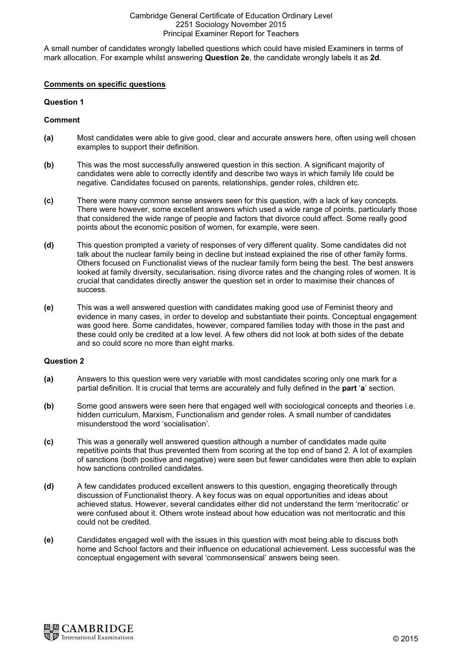A small number of candidates wrongly labelled questions which could have misled Examiners in terms of mark allocation. For example whilst answering Question 2e, the candidate wrongly labels it as 2d.

### Comments on specific questions

## Question 1

## Comment

- (a) Most candidates were able to give good, clear and accurate answers here, often using well chosen examples to support their definition.
- (b) This was the most successfully answered question in this section. A significant majority of candidates were able to correctly identify and describe two ways in which family life could be negative. Candidates focused on parents, relationships, gender roles, children etc.
- (c) There were many common sense answers seen for this question, with a lack of key concepts. There were however, some excellent answers which used a wide range of points, particularly those that considered the wide range of people and factors that divorce could affect. Some really good points about the economic position of women, for example, were seen.
- (d) This question prompted a variety of responses of very different quality. Some candidates did not talk about the nuclear family being in decline but instead explained the rise of other family forms. Others focused on Functionalist views of the nuclear family form being the best. The best answers looked at family diversity, secularisation, rising divorce rates and the changing roles of women. It is crucial that candidates directly answer the question set in order to maximise their chances of success.
- (e) This was a well answered question with candidates making good use of Feminist theory and evidence in many cases, in order to develop and substantiate their points. Conceptual engagement was good here. Some candidates, however, compared families today with those in the past and these could only be credited at a low level. A few others did not look at both sides of the debate and so could score no more than eight marks.

- (a) Answers to this question were very variable with most candidates scoring only one mark for a partial definition. It is crucial that terms are accurately and fully defined in the part 'a' section.
- (b) Some good answers were seen here that engaged well with sociological concepts and theories i.e. hidden curriculum, Marxism, Functionalism and gender roles. A small number of candidates misunderstood the word 'socialisation'.
- (c) This was a generally well answered question although a number of candidates made quite repetitive points that thus prevented them from scoring at the top end of band 2. A lot of examples of sanctions (both positive and negative) were seen but fewer candidates were then able to explain how sanctions controlled candidates.
- (d) A few candidates produced excellent answers to this question, engaging theoretically through discussion of Functionalist theory. A key focus was on equal opportunities and ideas about achieved status. However, several candidates either did not understand the term 'meritocratic' or were confused about it. Others wrote instead about how education was not meritocratic and this could not be credited.
- (e) Candidates engaged well with the issues in this question with most being able to discuss both home and School factors and their influence on educational achievement. Less successful was the conceptual engagement with several 'commonsensical' answers being seen.